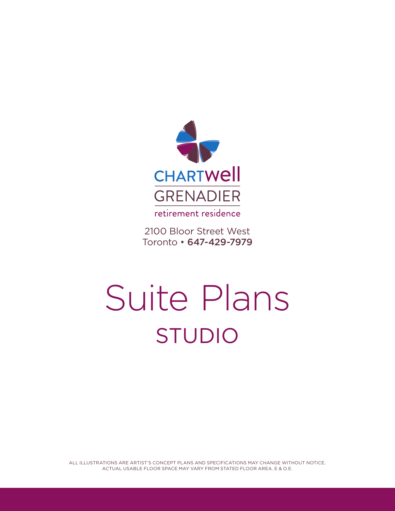

2100 Bloor Street West Toronto • 647-429-7979

## Suite Plans STUDIO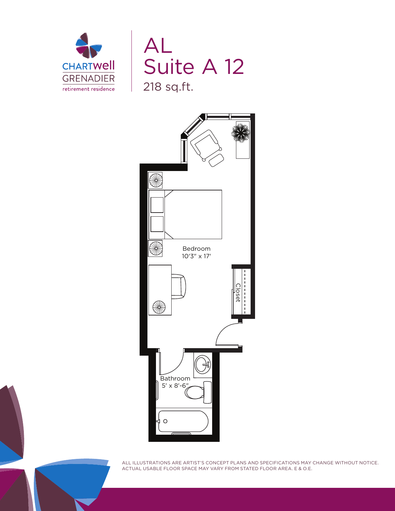



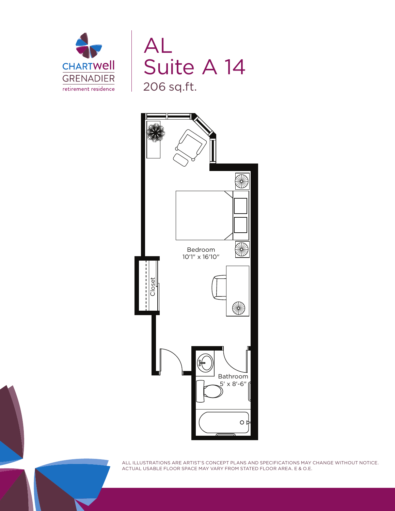



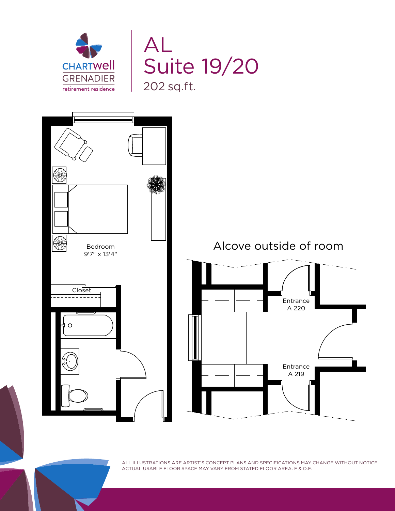



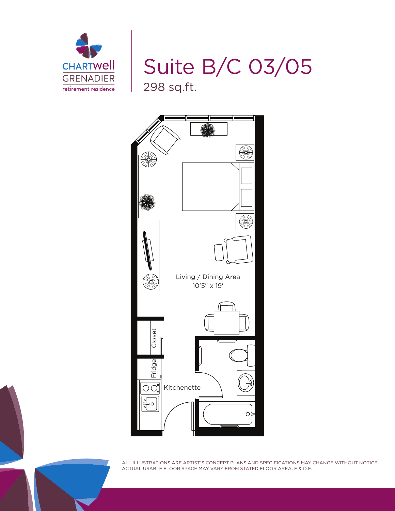

Suite B/C 03/05 298 sq.ft.